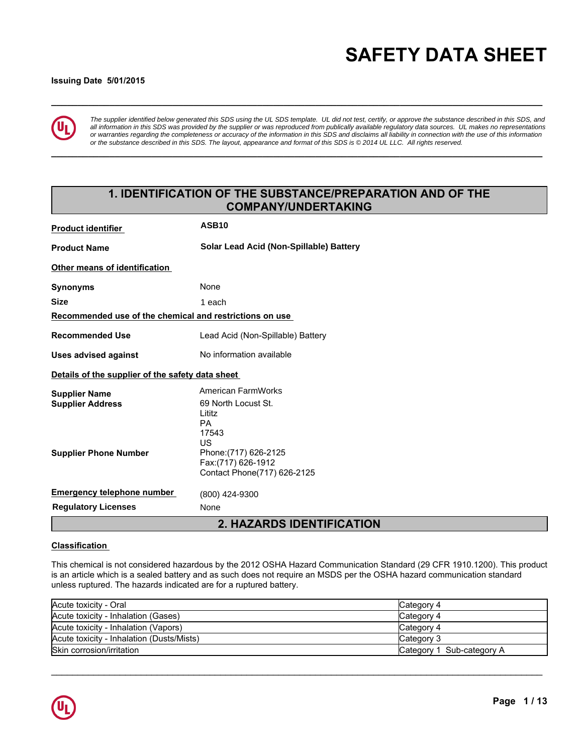# **\_\_\_\_\_\_\_\_\_\_\_\_\_\_\_\_\_\_\_\_\_\_\_\_\_\_\_\_\_\_\_\_\_\_\_\_\_\_\_\_\_\_\_\_\_\_\_\_\_\_\_\_\_\_\_\_\_\_\_\_\_\_\_\_\_\_\_\_\_\_\_\_\_\_\_\_\_\_\_\_\_\_\_\_\_\_\_\_\_\_\_\_\_ SAFETY DATA SHEET**

## **Issuing Date 5/01/2015**



*The supplier identified below generated this SDS using the UL SDS template. UL did not test, certify, or approve the substance described in this SDS, and all information in this SDS was provided by the supplier or was reproduced from publically available regulatory data sources. UL makes no representations or warranties regarding the completeness or accuracy of the information in this SDS and disclaims all liability in connection with the use of this information or the substance described in this SDS. The layout, appearance and format of this SDS is © 2014 UL LLC. All rights reserved.*

**\_\_\_\_\_\_\_\_\_\_\_\_\_\_\_\_\_\_\_\_\_\_\_\_\_\_\_\_\_\_\_\_\_\_\_\_\_\_\_\_\_\_\_\_\_\_\_\_\_\_\_\_\_\_\_\_\_\_\_\_\_\_\_\_\_\_\_\_\_\_\_\_\_\_\_\_\_\_\_\_\_\_\_\_\_\_\_\_\_\_\_\_\_**

## **1. IDENTIFICATION OF THE SUBSTANCE/PREPARATION AND OF THE COMPANY/UNDERTAKING**

| <b>Product identifier</b>                               | <b>ASB10</b>                                                                      |  |  |  |
|---------------------------------------------------------|-----------------------------------------------------------------------------------|--|--|--|
| <b>Product Name</b>                                     | Solar Lead Acid (Non-Spillable) Battery                                           |  |  |  |
| <b>Other means of identification</b>                    |                                                                                   |  |  |  |
| Synonyms                                                | None                                                                              |  |  |  |
| <b>Size</b>                                             | 1 each                                                                            |  |  |  |
| Recommended use of the chemical and restrictions on use |                                                                                   |  |  |  |
| <b>Recommended Use</b>                                  | Lead Acid (Non-Spillable) Battery                                                 |  |  |  |
| <b>Uses advised against</b>                             | No information available                                                          |  |  |  |
| Details of the supplier of the safety data sheet        |                                                                                   |  |  |  |
| <b>Supplier Name</b><br><b>Supplier Address</b>         | American FarmWorks<br>69 North Locust St.<br>Lititz<br><b>PA</b><br>17543         |  |  |  |
| <b>Supplier Phone Number</b>                            | US.<br>Phone: (717) 626-2125<br>Fax:(717) 626-1912<br>Contact Phone(717) 626-2125 |  |  |  |
| <b>Emergency telephone number</b>                       | (800) 424-9300                                                                    |  |  |  |
| <b>Requlatory Licenses</b>                              | None                                                                              |  |  |  |
|                                                         | <b>2. HAZARDS IDENTIFICATION</b>                                                  |  |  |  |

## **Classification**

This chemical is not considered hazardous by the 2012 OSHA Hazard Communication Standard (29 CFR 1910.1200). This product is an article which is a sealed battery and as such does not require an MSDS per the OSHA hazard communication standard unless ruptured. The hazards indicated are for a ruptured battery.

| Acute toxicity - Oral                     | lCategory 4               |
|-------------------------------------------|---------------------------|
| Acute toxicity - Inhalation (Gases)       | Category 4                |
| Acute toxicity - Inhalation (Vapors)      | Category 4                |
| Acute toxicity - Inhalation (Dusts/Mists) | Category 3                |
| Skin corrosion/irritation                 | Category 1 Sub-category A |

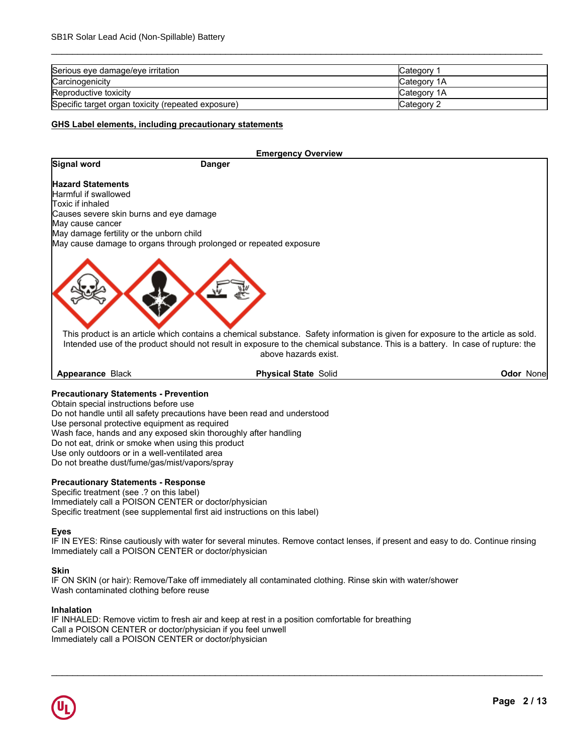| Serious eye damage/eye irritation                  | Category     |
|----------------------------------------------------|--------------|
| Carcinogenicity                                    | Category 1A  |
| Reproductive toxicity                              | ICategory 1A |
| Specific target organ toxicity (repeated exposure) | Category 2   |

\_\_\_\_\_\_\_\_\_\_\_\_\_\_\_\_\_\_\_\_\_\_\_\_\_\_\_\_\_\_\_\_\_\_\_\_\_\_\_\_\_\_\_\_\_\_\_\_\_\_\_\_\_\_\_\_\_\_\_\_\_\_\_\_\_\_\_\_\_\_\_\_\_\_\_\_\_\_\_\_\_\_\_\_\_\_\_\_\_\_\_\_\_

## **GHS Label elements, including precautionary statements**

|                                          | <b>Emergency Overview</b>                                                                                                                                                                                                                                                                   |                   |
|------------------------------------------|---------------------------------------------------------------------------------------------------------------------------------------------------------------------------------------------------------------------------------------------------------------------------------------------|-------------------|
| Signal word                              | <b>Danger</b>                                                                                                                                                                                                                                                                               |                   |
| <b>Hazard Statements</b>                 |                                                                                                                                                                                                                                                                                             |                   |
| Harmful if swallowed                     |                                                                                                                                                                                                                                                                                             |                   |
| Toxic if inhaled                         |                                                                                                                                                                                                                                                                                             |                   |
| Causes severe skin burns and eye damage  |                                                                                                                                                                                                                                                                                             |                   |
| May cause cancer                         |                                                                                                                                                                                                                                                                                             |                   |
| May damage fertility or the unborn child |                                                                                                                                                                                                                                                                                             |                   |
|                                          | May cause damage to organs through prolonged or repeated exposure                                                                                                                                                                                                                           |                   |
|                                          | This product is an article which contains a chemical substance. Safety information is given for exposure to the article as sold.<br>Intended use of the product should not result in exposure to the chemical substance. This is a battery. In case of rupture: the<br>above hazards exist. |                   |
| <b>Appearance Black</b>                  | <b>Physical State Solid</b>                                                                                                                                                                                                                                                                 | <b>Odor Nonel</b> |

## **Precautionary Statements - Prevention**

Obtain special instructions before use Do not handle until all safety precautions have been read and understood Use personal protective equipment as required Wash face, hands and any exposed skin thoroughly after handling Do not eat, drink or smoke when using this product Use only outdoors or in a well-ventilated area Do not breathe dust/fume/gas/mist/vapors/spray

#### **Precautionary Statements - Response**

Specific treatment (see .? on this label) Immediately call a POISON CENTER or doctor/physician Specific treatment (see supplemental first aid instructions on this label)

#### **Eyes**

IF IN EYES: Rinse cautiously with water for several minutes. Remove contact lenses, if present and easy to do. Continue rinsing Immediately call a POISON CENTER or doctor/physician

\_\_\_\_\_\_\_\_\_\_\_\_\_\_\_\_\_\_\_\_\_\_\_\_\_\_\_\_\_\_\_\_\_\_\_\_\_\_\_\_\_\_\_\_\_\_\_\_\_\_\_\_\_\_\_\_\_\_\_\_\_\_\_\_\_\_\_\_\_\_\_\_\_\_\_\_\_\_\_\_\_\_\_\_\_\_\_\_\_\_\_\_\_

#### **Skin**

IF ON SKIN (or hair): Remove/Take off immediately all contaminated clothing. Rinse skin with water/shower Wash contaminated clothing before reuse

#### **Inhalation**

IF INHALED: Remove victim to fresh air and keep at rest in a position comfortable for breathing Call a POISON CENTER or doctor/physician if you feel unwell Immediately call a POISON CENTER or doctor/physician

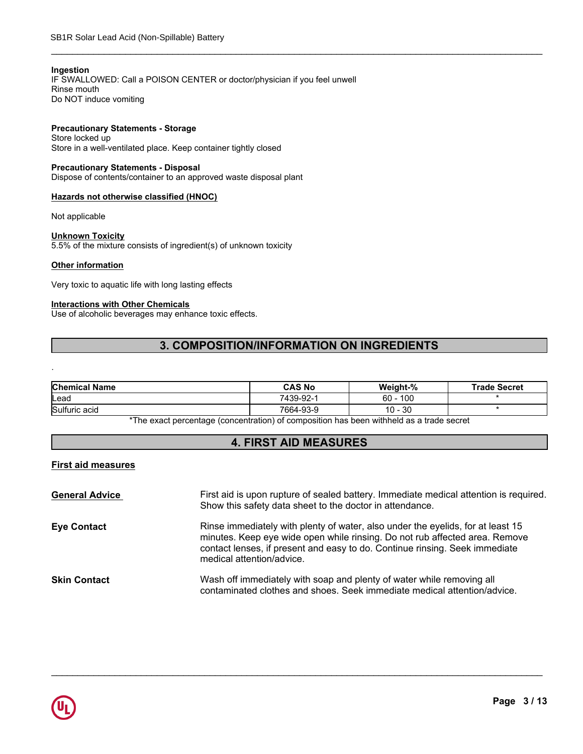## **Ingestion**

IF SWALLOWED: Call a POISON CENTER or doctor/physician if you feel unwell Rinse mouth Do NOT induce vomiting

## **Precautionary Statements - Storage**

Store locked up Store in a well-ventilated place. Keep container tightly closed

## **Precautionary Statements - Disposal**

Dispose of contents/container to an approved waste disposal plant

## **Hazards not otherwise classified (HNOC)**

Not applicable

#### **Unknown Toxicity**

5.5% of the mixture consists of ingredient(s) of unknown toxicity

## **Other information**

.

Very toxic to aquatic life with long lasting effects

## **Interactions with Other Chemicals**

Use of alcoholic beverages may enhance toxic effects.

## **3. COMPOSITION/INFORMATION ON INGREDIENTS**

\_\_\_\_\_\_\_\_\_\_\_\_\_\_\_\_\_\_\_\_\_\_\_\_\_\_\_\_\_\_\_\_\_\_\_\_\_\_\_\_\_\_\_\_\_\_\_\_\_\_\_\_\_\_\_\_\_\_\_\_\_\_\_\_\_\_\_\_\_\_\_\_\_\_\_\_\_\_\_\_\_\_\_\_\_\_\_\_\_\_\_\_\_

| <b>Chemical Name</b> | <b>CAS No</b> | Weight-%     | <b>Trade Secret</b> |
|----------------------|---------------|--------------|---------------------|
| lLead                | 7439-92-1     | 100<br>60    |                     |
| Sulfuric acid        | 7664-93-9     | $10 -$<br>30 |                     |

\*The exact percentage (concentration) of composition has been withheld as a trade secret

## **4. FIRST AID MEASURES**

## **First aid measures**

| <b>General Advice</b> | First aid is upon rupture of sealed battery. Immediate medical attention is required.<br>Show this safety data sheet to the doctor in attendance.                                                                                                                          |
|-----------------------|----------------------------------------------------------------------------------------------------------------------------------------------------------------------------------------------------------------------------------------------------------------------------|
| <b>Eye Contact</b>    | Rinse immediately with plenty of water, also under the eyelids, for at least 15<br>minutes. Keep eye wide open while rinsing. Do not rub affected area. Remove<br>contact lenses, if present and easy to do. Continue rinsing. Seek immediate<br>medical attention/advice. |
| <b>Skin Contact</b>   | Wash off immediately with soap and plenty of water while removing all<br>contaminated clothes and shoes. Seek immediate medical attention/advice.                                                                                                                          |

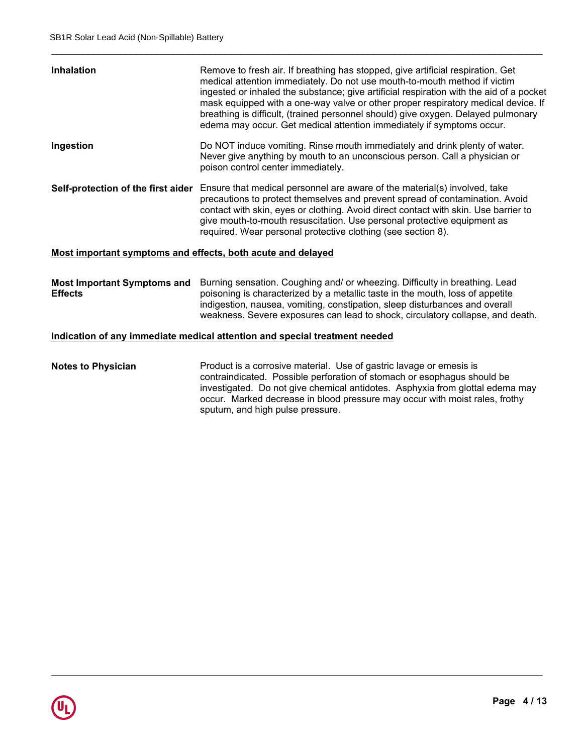| <b>Inhalation</b> | Remove to fresh air. If breathing has stopped, give artificial respiration. Get<br>medical attention immediately. Do not use mouth-to-mouth method if victim<br>ingested or inhaled the substance; give artificial respiration with the aid of a pocket<br>mask equipped with a one-way valve or other proper respiratory medical device. If<br>breathing is difficult, (trained personnel should) give oxygen. Delayed pulmonary<br>edema may occur. Get medical attention immediately if symptoms occur. |
|-------------------|------------------------------------------------------------------------------------------------------------------------------------------------------------------------------------------------------------------------------------------------------------------------------------------------------------------------------------------------------------------------------------------------------------------------------------------------------------------------------------------------------------|
| Ingestion         | Do NOT induce vomiting. Rinse mouth immediately and drink plenty of water.<br>Never give anything by mouth to an unconscious person. Call a physician or<br>poison control center immediately.                                                                                                                                                                                                                                                                                                             |
|                   | Self-protection of the first aider Ensure that medical personnel are aware of the material(s) involved, take<br>precautions to protect themselves and prevent spread of contamination. Avoid<br>contact with skin, eyes or clothing. Avoid direct contact with skin. Use barrier to<br>give mouth-to-mouth resuscitation. Use personal protective equipment as<br>required. Wear personal protective clothing (see section 8).                                                                             |
|                   |                                                                                                                                                                                                                                                                                                                                                                                                                                                                                                            |

\_\_\_\_\_\_\_\_\_\_\_\_\_\_\_\_\_\_\_\_\_\_\_\_\_\_\_\_\_\_\_\_\_\_\_\_\_\_\_\_\_\_\_\_\_\_\_\_\_\_\_\_\_\_\_\_\_\_\_\_\_\_\_\_\_\_\_\_\_\_\_\_\_\_\_\_\_\_\_\_\_\_\_\_\_\_\_\_\_\_\_\_\_

## **Most important symptoms and effects, both acute and delayed**

**Most Important Symptoms and** Burning sensation. Coughing and/ or wheezing. Difficulty in breathing. Lead **Effects** poisoning is characterized by a metallic taste in the mouth, loss of appetite indigestion, nausea, vomiting, constipation, sleep disturbances and overall weakness. Severe exposures can lead to shock, circulatory collapse, and death.

## **Indication of any immediate medical attention and special treatment needed**

**Notes to Physician** Product is a corrosive material. Use of gastric lavage or emesis is contraindicated. Possible perforation of stomach or esophagus should be investigated. Do not give chemical antidotes. Asphyxia from glottal edema may occur. Marked decrease in blood pressure may occur with moist rales, frothy sputum, and high pulse pressure.

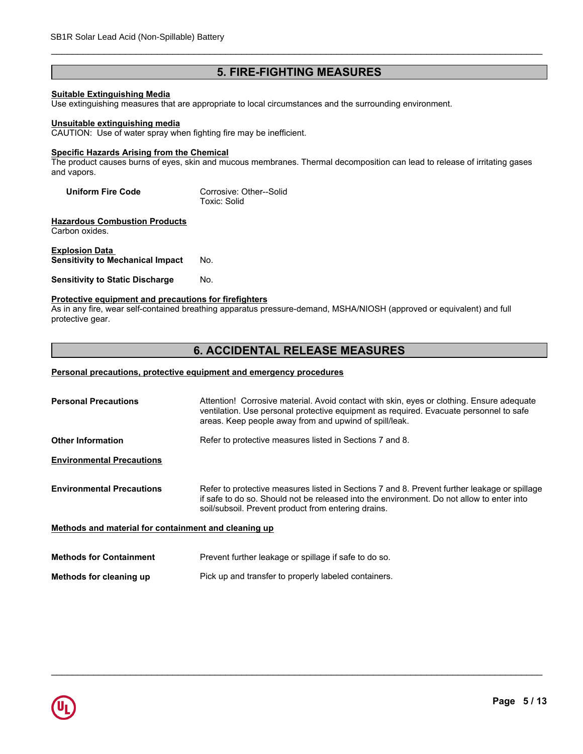## **5. FIRE-FIGHTING MEASURES**

\_\_\_\_\_\_\_\_\_\_\_\_\_\_\_\_\_\_\_\_\_\_\_\_\_\_\_\_\_\_\_\_\_\_\_\_\_\_\_\_\_\_\_\_\_\_\_\_\_\_\_\_\_\_\_\_\_\_\_\_\_\_\_\_\_\_\_\_\_\_\_\_\_\_\_\_\_\_\_\_\_\_\_\_\_\_\_\_\_\_\_\_\_

## **Suitable Extinguishing Media**

Use extinguishing measures that are appropriate to local circumstances and the surrounding environment.

#### **Unsuitable extinguishing media**

CAUTION: Use of water spray when fighting fire may be inefficient.

## **Specific Hazards Arising from the Chemical**

The product causes burns of eyes, skin and mucous membranes. Thermal decomposition can lead to release of irritating gases and vapors.

| <b>Uniform Fire Code</b> | Corrosive: Other--Solid |  |
|--------------------------|-------------------------|--|
|                          | Toxic: Solid            |  |

**Hazardous Combustion Products** Carbon oxides.

#### **Explosion Data Sensitivity to Mechanical Impact** No.

**Sensitivity to Static Discharge No.** 

## **Protective equipment and precautions for firefighters**

As in any fire, wear self-contained breathing apparatus pressure-demand, MSHA/NIOSH (approved or equivalent) and full protective gear.

## **6. ACCIDENTAL RELEASE MEASURES**

## **Personal precautions, protective equipment and emergency procedures**

| <b>Personal Precautions</b>                          | Attention! Corrosive material. Avoid contact with skin, eyes or clothing. Ensure adequate<br>ventilation. Use personal protective equipment as required. Evacuate personnel to safe<br>areas. Keep people away from and upwind of spill/leak.    |
|------------------------------------------------------|--------------------------------------------------------------------------------------------------------------------------------------------------------------------------------------------------------------------------------------------------|
| <b>Other Information</b>                             | Refer to protective measures listed in Sections 7 and 8.                                                                                                                                                                                         |
| <b>Environmental Precautions</b>                     |                                                                                                                                                                                                                                                  |
| <b>Environmental Precautions</b>                     | Refer to protective measures listed in Sections 7 and 8. Prevent further leakage or spillage<br>if safe to do so. Should not be released into the environment. Do not allow to enter into<br>soil/subsoil. Prevent product from entering drains. |
| Methods and material for containment and cleaning up |                                                                                                                                                                                                                                                  |
| <b>Methods for Containment</b>                       | Prevent further leakage or spillage if safe to do so.                                                                                                                                                                                            |

Pick up and transfer to properly labeled containers.

\_\_\_\_\_\_\_\_\_\_\_\_\_\_\_\_\_\_\_\_\_\_\_\_\_\_\_\_\_\_\_\_\_\_\_\_\_\_\_\_\_\_\_\_\_\_\_\_\_\_\_\_\_\_\_\_\_\_\_\_\_\_\_\_\_\_\_\_\_\_\_\_\_\_\_\_\_\_\_\_\_\_\_\_\_\_\_\_\_\_\_\_\_

**Methods for cleaning up**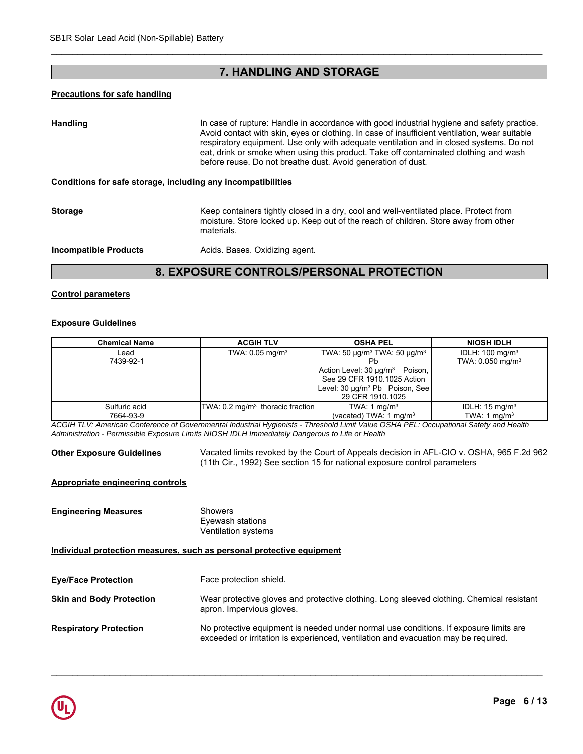## **7. HANDLING AND STORAGE**

## **Precautions for safe handling**

Handling **In case of rupture: Handle in accordance with good industrial hygiene and safety practice.** Avoid contact with skin, eyes or clothing. In case of insufficient ventilation, wear suitable respiratory equipment. Use only with adequate ventilation and in closed systems. Do not eat, drink or smoke when using this product. Take off contaminated clothing and wash before reuse. Do not breathe dust. Avoid generation of dust.

#### **Conditions for safe storage, including any incompatibilities**

**Storage Storage Keep containers tightly closed in a dry, cool and well-ventilated place. Protect from** moisture. Store locked up. Keep out of the reach of children. Store away from other materials.

\_\_\_\_\_\_\_\_\_\_\_\_\_\_\_\_\_\_\_\_\_\_\_\_\_\_\_\_\_\_\_\_\_\_\_\_\_\_\_\_\_\_\_\_\_\_\_\_\_\_\_\_\_\_\_\_\_\_\_\_\_\_\_\_\_\_\_\_\_\_\_\_\_\_\_\_\_\_\_\_\_\_\_\_\_\_\_\_\_\_\_\_\_

**Incompatible Products Acids. Bases. Oxidizing agent.** 

## **8. EXPOSURE CONTROLS/PERSONAL PROTECTION**

## **Control parameters**

#### **Exposure Guidelines**

| <b>Exposure Guidelines</b> |                                             |                                                                                                                                                                                                                       |                                                            |
|----------------------------|---------------------------------------------|-----------------------------------------------------------------------------------------------------------------------------------------------------------------------------------------------------------------------|------------------------------------------------------------|
| <b>Chemical Name</b>       | <b>ACGIH TLV</b>                            | <b>OSHA PEL</b>                                                                                                                                                                                                       | <b>NIOSH IDLH</b>                                          |
| Lead<br>7439-92-1          | TWA: $0.05 \text{ mg/m}^3$                  | TWA: 50 $\mu$ g/m <sup>3</sup> TWA: 50 $\mu$ g/m <sup>3</sup><br>Ph<br>Action Level: 30 µg/m <sup>3</sup><br>Poison.<br>See 29 CFR 1910.1025 Action<br>Level: 30 µg/m <sup>3</sup> Pb Poison, See<br>29 CFR 1910.1025 | IDLH: $100 \text{ mg/m}^3$<br>TWA: 0.050 mg/m <sup>3</sup> |
| Sulfuric acid<br>7664-93-9 | TWA: $0.2 \text{ mg/m}^3$ thoracic fraction | TWA: 1 mg/m <sup>3</sup><br>(vacated) TWA: 1 mg/m <sup>3</sup>                                                                                                                                                        | IDLH: $15 \text{ mg/m}^3$<br>TWA: 1 $mq/m3$                |

**Other Exposure Guidelines** Vacated limits revoked by the Court of Appeals decision in AFL-CIO v. OSHA, 965 F.2d 962 (11th Cir., 1992) See section 15 for national exposure control parameters

## **Appropriate engineering controls**

**Engineering Measures** Showers Eyewash stations Ventilation systems

**Individual protection measures, such as personal protective equipment**

| <b>Eye/Face Protection</b>      | Face protection shield.                                                                                                                                                     |
|---------------------------------|-----------------------------------------------------------------------------------------------------------------------------------------------------------------------------|
| <b>Skin and Body Protection</b> | Wear protective gloves and protective clothing. Long sleeved clothing. Chemical resistant<br>apron. Impervious gloves.                                                      |
| <b>Respiratory Protection</b>   | No protective equipment is needed under normal use conditions. If exposure limits are<br>exceeded or irritation is experienced, ventilation and evacuation may be required. |

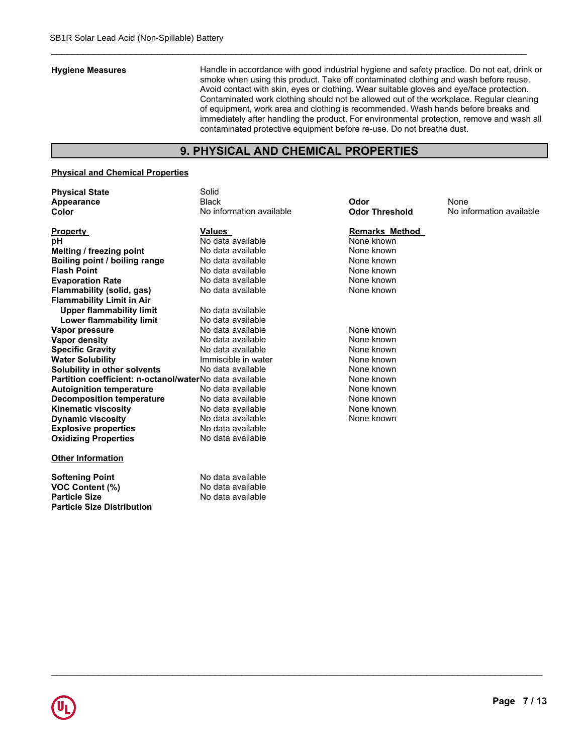**Hygiene Measures** Handle in accordance with good industrial hygiene and safety practice. Do not eat, drink or smoke when using this product. Take off contaminated clothing and wash before reuse. Avoid contact with skin, eyes or clothing. Wear suitable gloves and eye/face protection. Contaminated work clothing should not be allowed out of the workplace. Regular cleaning of equipment, work area and clothing is recommended. Wash hands before breaks and immediately after handling the product. For environmental protection, remove and wash all contaminated protective equipment before re-use. Do not breathe dust.

## **9. PHYSICAL AND CHEMICAL PROPERTIES**

## **Physical and Chemical Properties**

**Particle Size Distribution**

| <b>Physical State</b>                                   | Solid                    |                       |                          |
|---------------------------------------------------------|--------------------------|-----------------------|--------------------------|
| Appearance                                              | <b>Black</b>             | Odor                  | None                     |
| Color                                                   | No information available | <b>Odor Threshold</b> | No information available |
| <b>Property</b>                                         | <b>Values</b>            | <b>Remarks Method</b> |                          |
| рH                                                      | No data available        | None known            |                          |
| Melting / freezing point                                | No data available        | None known            |                          |
| Boiling point / boiling range                           | No data available        | None known            |                          |
| <b>Flash Point</b>                                      | No data available        | None known            |                          |
| <b>Evaporation Rate</b>                                 | No data available        | None known            |                          |
| Flammability (solid, gas)                               | No data available        | None known            |                          |
| <b>Flammability Limit in Air</b>                        |                          |                       |                          |
| <b>Upper flammability limit</b>                         | No data available        |                       |                          |
| <b>Lower flammability limit</b>                         | No data available        |                       |                          |
| Vapor pressure                                          | No data available        | None known            |                          |
| <b>Vapor density</b>                                    | No data available        | None known            |                          |
| <b>Specific Gravity</b>                                 | No data available        | None known            |                          |
| <b>Water Solubility</b>                                 | Immiscible in water      | None known            |                          |
| Solubility in other solvents                            | No data available        | None known            |                          |
| Partition coefficient: n-octanol/waterNo data available |                          | None known            |                          |
| <b>Autoignition temperature</b>                         | No data available        | None known            |                          |
| <b>Decomposition temperature</b>                        | No data available        | None known            |                          |
| <b>Kinematic viscosity</b>                              | No data available        | None known            |                          |
| <b>Dynamic viscosity</b>                                | No data available        | None known            |                          |
| <b>Explosive properties</b>                             | No data available        |                       |                          |
| <b>Oxidizing Properties</b>                             | No data available        |                       |                          |
| <b>Other Information</b>                                |                          |                       |                          |
| <b>Softening Point</b>                                  | No data available        |                       |                          |
| VOC Content (%)                                         | No data available        |                       |                          |
| <b>Particle Size</b>                                    | No data available        |                       |                          |

# **emarks Method**<br>one known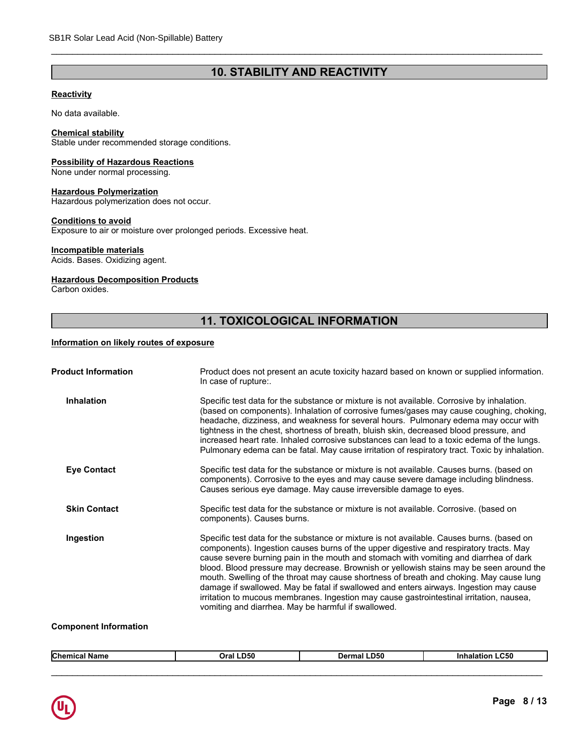## **10. STABILITY AND REACTIVITY**

\_\_\_\_\_\_\_\_\_\_\_\_\_\_\_\_\_\_\_\_\_\_\_\_\_\_\_\_\_\_\_\_\_\_\_\_\_\_\_\_\_\_\_\_\_\_\_\_\_\_\_\_\_\_\_\_\_\_\_\_\_\_\_\_\_\_\_\_\_\_\_\_\_\_\_\_\_\_\_\_\_\_\_\_\_\_\_\_\_\_\_\_\_

## **Reactivity**

No data available.

## **Chemical stability**

Stable under recommended storage conditions.

## **Possibility of Hazardous Reactions**

None under normal processing.

## **Hazardous Polymerization**

Hazardous polymerization does not occur.

## **Conditions to avoid**

Exposure to air or moisture over prolonged periods. Excessive heat.

## **Incompatible materials**

Acids. Bases. Oxidizing agent.

## **Hazardous Decomposition Products**

Carbon oxides.

## **11. TOXICOLOGICAL INFORMATION**

## **Information on likely routes of exposure**

| Product does not present an acute toxicity hazard based on known or supplied information.                                                                                                                                                                                                                                                                                                                                                                          |
|--------------------------------------------------------------------------------------------------------------------------------------------------------------------------------------------------------------------------------------------------------------------------------------------------------------------------------------------------------------------------------------------------------------------------------------------------------------------|
| (based on components). Inhalation of corrosive fumes/gases may cause coughing, choking,<br>headache, dizziness, and weakness for several hours. Pulmonary edema may occur with<br>increased heart rate. Inhaled corrosive substances can lead to a toxic edema of the lungs.<br>Pulmonary edema can be fatal. May cause irritation of respiratory tract. Toxic by inhalation.                                                                                      |
| Specific test data for the substance or mixture is not available. Causes burns. (based on<br>components). Corrosive to the eyes and may cause severe damage including blindness.                                                                                                                                                                                                                                                                                   |
|                                                                                                                                                                                                                                                                                                                                                                                                                                                                    |
| Specific test data for the substance or mixture is not available. Causes burns. (based on<br>cause severe burning pain in the mouth and stomach with vomiting and diarrhea of dark<br>blood. Blood pressure may decrease. Brownish or yellowish stains may be seen around the<br>mouth. Swelling of the throat may cause shortness of breath and choking. May cause lung<br>damage if swallowed. May be fatal if swallowed and enters airways. Ingestion may cause |
|                                                                                                                                                                                                                                                                                                                                                                                                                                                                    |

## **Component Information**

| <b>Chemical</b><br>.<br>ા Name | Oral LD50 | <b>Dermal LD50</b> | <b>Inhalation LC50</b> |  |
|--------------------------------|-----------|--------------------|------------------------|--|
|                                |           |                    |                        |  |
|                                |           |                    |                        |  |

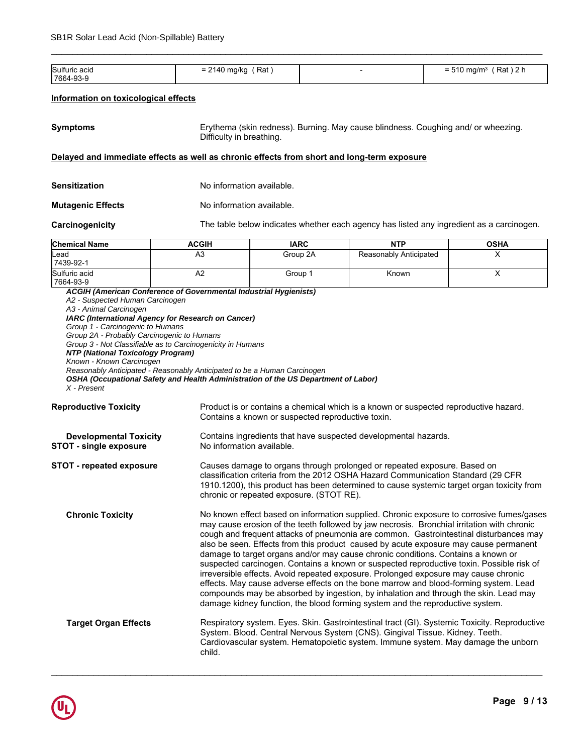| Sulfuric acid | ´ Rat<br>2140 mg/kg<br>-<br>- | $Rat$ ) 2 h<br>$510 \text{ ma/m}^3$<br>- 1<br>= |
|---------------|-------------------------------|-------------------------------------------------|
| 17664-93-9    |                               |                                                 |

\_\_\_\_\_\_\_\_\_\_\_\_\_\_\_\_\_\_\_\_\_\_\_\_\_\_\_\_\_\_\_\_\_\_\_\_\_\_\_\_\_\_\_\_\_\_\_\_\_\_\_\_\_\_\_\_\_\_\_\_\_\_\_\_\_\_\_\_\_\_\_\_\_\_\_\_\_\_\_\_\_\_\_\_\_\_\_\_\_\_\_\_\_

## **Information on toxicological effects**

| <b>Symptoms</b> | Erythema (skin redness). Burning. May cause blindness. Coughing and/ or wheezing.<br>Difficulty in breathing. |
|-----------------|---------------------------------------------------------------------------------------------------------------|
|-----------------|---------------------------------------------------------------------------------------------------------------|

## **Delayed and immediate effects as well as chronic effects from short and long-term exposure**

| <b>Sensitization</b>     | No information available. |
|--------------------------|---------------------------|
| <b>Mutagenic Effects</b> | No information available. |

**Carcinogenicity** The table below indicates whether each agency has listed any ingredient as a carcinogen.

| <b>Chemical Name</b>       | <b>ACGIH</b> | <b>IARC</b> | <b>NTP</b>             | <b>OSHA</b> |
|----------------------------|--------------|-------------|------------------------|-------------|
| <b>Lead</b><br>7439-92-1   | A3           | Group 2A    | Reasonably Anticipated |             |
| Sulfuric acid<br>7664-93-9 | ∼            | Group 1     | Known                  |             |

*ACGIH (American Conference of Governmental Industrial Hygienists) A2 - Suspected Human Carcinogen A3 - Animal Carcinogen IARC (International Agency for Research on Cancer) Group 1 - Carcinogenic to Humans Group 2A - Probably Carcinogenic to Humans Group 3 - Not Classifiable as to Carcinogenicity in Humans NTP (National Toxicology Program) Known - Known Carcinogen Reasonably Anticipated - Reasonably Anticipated to be a Human Carcinogen OSHA (Occupational Safety and Health Administration of the US Department of Labor) X - Present*

**Reproductive Toxicity** Product is or contains a chemical which is a known or suspected reproductive hazard. Contains a known or suspected reproductive toxin.

| <b>Developmental Toxicity</b><br><b>STOT - single exposure</b> | Contains ingredients that have suspected developmental hazards.<br>No information available.                                                                                                                                                                                                                                                                                                                                                                                                                                                                                                                                                                                                                                                                                                                                                                                                                    |
|----------------------------------------------------------------|-----------------------------------------------------------------------------------------------------------------------------------------------------------------------------------------------------------------------------------------------------------------------------------------------------------------------------------------------------------------------------------------------------------------------------------------------------------------------------------------------------------------------------------------------------------------------------------------------------------------------------------------------------------------------------------------------------------------------------------------------------------------------------------------------------------------------------------------------------------------------------------------------------------------|
| <b>STOT - repeated exposure</b>                                | Causes damage to organs through prolonged or repeated exposure. Based on<br>classification criteria from the 2012 OSHA Hazard Communication Standard (29 CFR<br>1910.1200), this product has been determined to cause systemic target organ toxicity from<br>chronic or repeated exposure. (STOT RE).                                                                                                                                                                                                                                                                                                                                                                                                                                                                                                                                                                                                           |
| <b>Chronic Toxicity</b>                                        | No known effect based on information supplied. Chronic exposure to corrosive fumes/gases<br>may cause erosion of the teeth followed by jaw necrosis. Bronchial irritation with chronic<br>cough and frequent attacks of pneumonia are common. Gastrointestinal disturbances may<br>also be seen. Effects from this product caused by acute exposure may cause permanent<br>damage to target organs and/or may cause chronic conditions. Contains a known or<br>suspected carcinogen. Contains a known or suspected reproductive toxin. Possible risk of<br>irreversible effects. Avoid repeated exposure. Prolonged exposure may cause chronic<br>effects. May cause adverse effects on the bone marrow and blood-forming system. Lead<br>compounds may be absorbed by ingestion, by inhalation and through the skin. Lead may<br>damage kidney function, the blood forming system and the reproductive system. |
| <b>Target Organ Effects</b>                                    | Respiratory system. Eyes. Skin. Gastrointestinal tract (GI). Systemic Toxicity. Reproductive<br>System. Blood. Central Nervous System (CNS). Gingival Tissue. Kidney. Teeth.<br>Cardiovascular system. Hematopoietic system. Immune system. May damage the unborn<br>child.                                                                                                                                                                                                                                                                                                                                                                                                                                                                                                                                                                                                                                     |

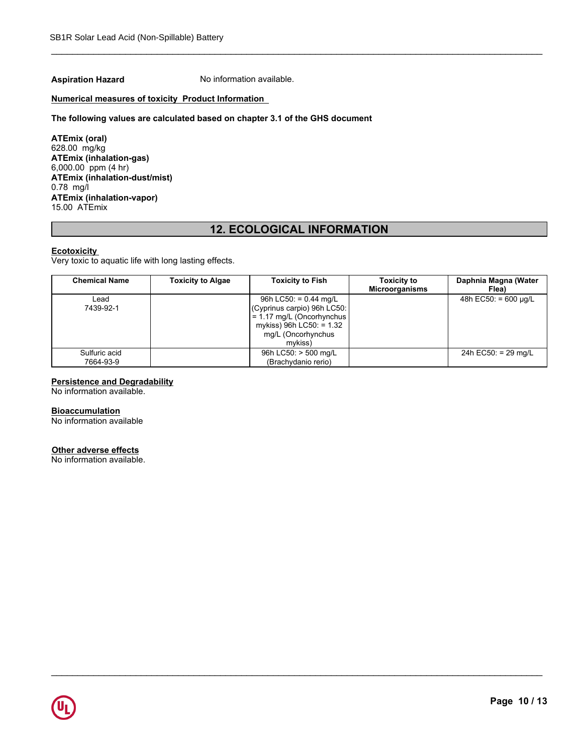**Aspiration Hazard** No information available.

## **Numerical measures of toxicity Product Information**

## **The following values are calculated based on chapter 3.1 of the GHS document**

**ATEmix (oral)** 628.00 mg/kg **ATEmix (inhalation-gas)** 6,000.00 ppm (4 hr) **ATEmix (inhalation-dust/mist)** 0.78 mg/l **ATEmix (inhalation-vapor)** 15.00 ATEmix

## **12. ECOLOGICAL INFORMATION**

\_\_\_\_\_\_\_\_\_\_\_\_\_\_\_\_\_\_\_\_\_\_\_\_\_\_\_\_\_\_\_\_\_\_\_\_\_\_\_\_\_\_\_\_\_\_\_\_\_\_\_\_\_\_\_\_\_\_\_\_\_\_\_\_\_\_\_\_\_\_\_\_\_\_\_\_\_\_\_\_\_\_\_\_\_\_\_\_\_\_\_\_\_

## **Ecotoxicity**

Very toxic to aquatic life with long lasting effects.

| <b>Chemical Name</b>       | <b>Toxicity to Algae</b> | <b>Toxicity to Fish</b>                                                                                                                            | <b>Toxicity to</b><br><b>Microorganisms</b> | Daphnia Magna (Water<br>Flea) |
|----------------------------|--------------------------|----------------------------------------------------------------------------------------------------------------------------------------------------|---------------------------------------------|-------------------------------|
| Lead<br>7439-92-1          |                          | 96h LC50: = $0.44$ mg/L<br>(Cyprinus carpio) 96h LC50:<br>= 1.17 mg/L (Oncorhynchus  <br>mykiss) 96h LC50: = 1.32<br>mg/L (Oncorhynchus<br>mvkiss) |                                             | 48h EC50: $= 600 \mu q/L$     |
| Sulfuric acid<br>7664-93-9 |                          | 96h LC50: > 500 mg/L<br>(Brachydanio rerio)                                                                                                        |                                             | 24h EC50: = 29 mg/L           |

\_\_\_\_\_\_\_\_\_\_\_\_\_\_\_\_\_\_\_\_\_\_\_\_\_\_\_\_\_\_\_\_\_\_\_\_\_\_\_\_\_\_\_\_\_\_\_\_\_\_\_\_\_\_\_\_\_\_\_\_\_\_\_\_\_\_\_\_\_\_\_\_\_\_\_\_\_\_\_\_\_\_\_\_\_\_\_\_\_\_\_\_\_

## **Persistence and Degradability**

No information available.

#### **Bioaccumulation**

No information available

## **Other adverse effects**

No information available.

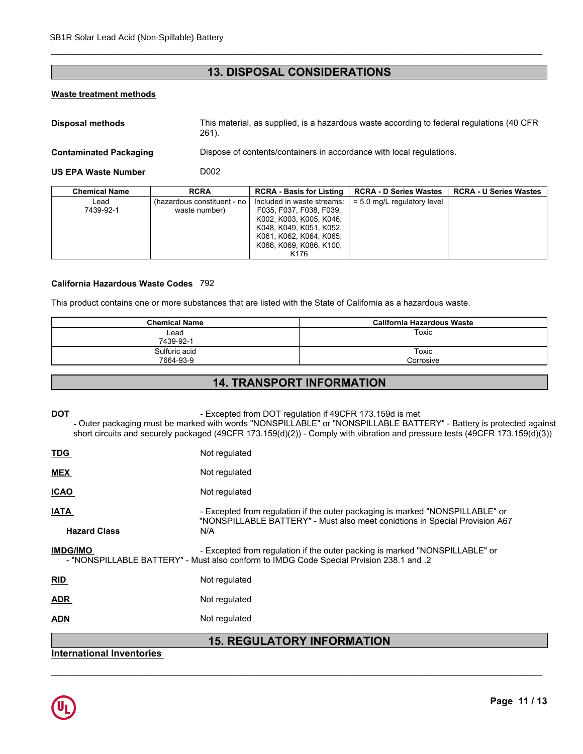## **13. DISPOSAL CONSIDERATIONS**

\_\_\_\_\_\_\_\_\_\_\_\_\_\_\_\_\_\_\_\_\_\_\_\_\_\_\_\_\_\_\_\_\_\_\_\_\_\_\_\_\_\_\_\_\_\_\_\_\_\_\_\_\_\_\_\_\_\_\_\_\_\_\_\_\_\_\_\_\_\_\_\_\_\_\_\_\_\_\_\_\_\_\_\_\_\_\_\_\_\_\_\_\_

## **Waste treatment methods**

| Waste treatment methods       |                                              |                                                                                                                                                                           |                                                                                            |                               |
|-------------------------------|----------------------------------------------|---------------------------------------------------------------------------------------------------------------------------------------------------------------------------|--------------------------------------------------------------------------------------------|-------------------------------|
| Disposal methods              | $261$ ).                                     |                                                                                                                                                                           | This material, as supplied, is a hazardous waste according to federal regulations (40 CFR) |                               |
| <b>Contaminated Packaging</b> |                                              |                                                                                                                                                                           | Dispose of contents/containers in accordance with local regulations.                       |                               |
| <b>US EPA Waste Number</b>    | D <sub>0</sub> 02                            |                                                                                                                                                                           |                                                                                            |                               |
| <b>Chemical Name</b>          | <b>RCRA</b>                                  | <b>RCRA - Basis for Listing</b>                                                                                                                                           | <b>RCRA - D Series Wastes</b>                                                              | <b>RCRA - U Series Wastes</b> |
| Lead<br>7439-92-1             | (hazardous constituent - no<br>waste number) | Included in waste streams:<br>F035, F037, F038, F039,<br>K002, K003, K005, K046,<br>K048, K049, K051, K052,<br>K061, K062, K064, K065,<br>K066, K069, K086, K100,<br>K176 | $= 5.0$ mg/L regulatory level                                                              |                               |

## **California Hazardous Waste Codes** 792

This product contains one or more substances that are listed with the State of California as a hazardous waste.

| <b>Chemical Name</b> | California Hazardous Waste |
|----------------------|----------------------------|
| Lead                 | Toxic                      |
| 7439-92-1            |                            |
| Sulfuric acid        | Toxic                      |
| 7664-93-9            | Corrosive                  |

## **14. TRANSPORT INFORMATION**

**DOT - Excepted from DOT regulation if 49CFR 173.159d is met -** Outer packaging must be marked with words "NONSPILLABLE" or "NONSPILLABLE BATTERY" - Battery is protected against short circuits and securely packaged (49CFR 173.159(d)(2)) - Comply with vibration and pressure tests (49CFR 173.159(d)(3))

| . .                                | <b>15. REGULATORY INFORMATION</b>                                                                                                                                      |
|------------------------------------|------------------------------------------------------------------------------------------------------------------------------------------------------------------------|
| <b>ADN</b>                         | Not regulated                                                                                                                                                          |
| <b>ADR</b>                         | Not regulated                                                                                                                                                          |
| <b>RID</b>                         | Not regulated                                                                                                                                                          |
| <b>IMDG/IMO</b>                    | - Excepted from regulation if the outer packing is marked "NONSPILLABLE" or<br>- "NONSPILLABLE BATTERY" - Must also conform to IMDG Code Special Prvision 238.1 and .2 |
| <b>IATA</b><br><b>Hazard Class</b> | - Excepted from regulation if the outer packaging is marked "NONSPILLABLE" or<br>"NONSPILLABLE BATTERY" - Must also meet conidtions in Special Provision A67<br>N/A    |
| <b>ICAO</b>                        | Not regulated                                                                                                                                                          |
| <b>MEX</b>                         | Not regulated                                                                                                                                                          |
| <b>TDG</b>                         | Not regulated                                                                                                                                                          |

\_\_\_\_\_\_\_\_\_\_\_\_\_\_\_\_\_\_\_\_\_\_\_\_\_\_\_\_\_\_\_\_\_\_\_\_\_\_\_\_\_\_\_\_\_\_\_\_\_\_\_\_\_\_\_\_\_\_\_\_\_\_\_\_\_\_\_\_\_\_\_\_\_\_\_\_\_\_\_\_\_\_\_\_\_\_\_\_\_\_\_\_\_

## **International Inventories**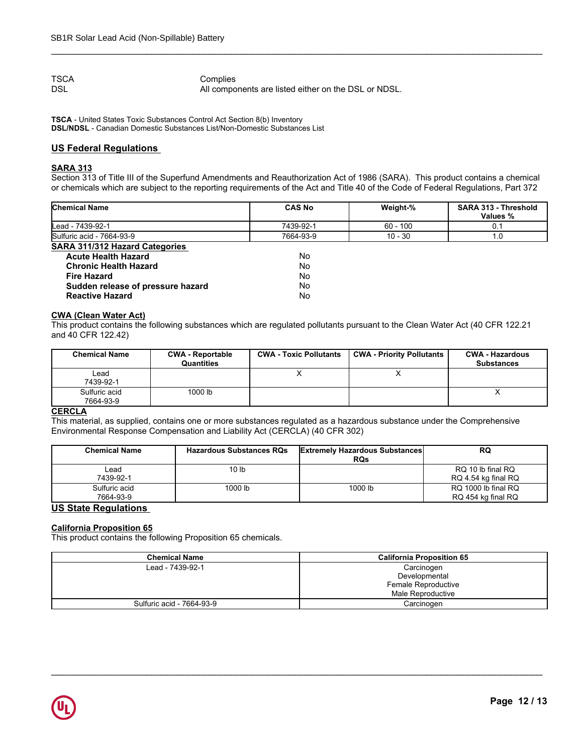TSCA<br>DSL<br>DSL All compo All components are listed either on the DSL or NDSL.

\_\_\_\_\_\_\_\_\_\_\_\_\_\_\_\_\_\_\_\_\_\_\_\_\_\_\_\_\_\_\_\_\_\_\_\_\_\_\_\_\_\_\_\_\_\_\_\_\_\_\_\_\_\_\_\_\_\_\_\_\_\_\_\_\_\_\_\_\_\_\_\_\_\_\_\_\_\_\_\_\_\_\_\_\_\_\_\_\_\_\_\_\_

**TSCA** - United States Toxic Substances Control Act Section 8(b) Inventory **DSL/NDSL** - Canadian Domestic Substances List/Non-Domestic Substances List

## **US Federal Regulations**

## **SARA 313**

Section 313 of Title III of the Superfund Amendments and Reauthorization Act of 1986 (SARA). This product contains a chemical or chemicals which are subject to the reporting requirements of the Act and Title 40 of the Code of Federal Regulations, Part 372

| <b>Chemical Name</b>                  | <b>CAS No</b> | Weight-%   | <b>SARA 313 - Threshold</b><br>Values % |
|---------------------------------------|---------------|------------|-----------------------------------------|
| Lead - 7439-92-1                      | 7439-92-1     | $60 - 100$ | 0.1                                     |
| Sulfuric acid - 7664-93-9             | 7664-93-9     | $10 - 30$  | 1.C                                     |
| <b>SARA 311/312 Hazard Categories</b> |               |            |                                         |
| <b>Acute Health Hazard</b>            | No            |            |                                         |
| <b>Chronic Health Hazard</b>          | No            |            |                                         |

## **Reactive Hazard CWA (Clean Water Act)**

| SARA STIJSTZ HAZARU GALEGORIES<br><b>Acute Health Hazard</b> |                                                                                                                        |         | No.                           |                                                     |                                                                                                                              |
|--------------------------------------------------------------|------------------------------------------------------------------------------------------------------------------------|---------|-------------------------------|-----------------------------------------------------|------------------------------------------------------------------------------------------------------------------------------|
| <b>Chronic Health Hazard</b>                                 |                                                                                                                        |         | No.                           |                                                     |                                                                                                                              |
| <b>Fire Hazard</b>                                           |                                                                                                                        | No.     |                               |                                                     |                                                                                                                              |
| Sudden release of pressure hazard<br><b>Reactive Hazard</b>  |                                                                                                                        | No.     |                               |                                                     |                                                                                                                              |
|                                                              |                                                                                                                        |         | No.                           |                                                     |                                                                                                                              |
| <b>CWA (Clean Water Act)</b>                                 |                                                                                                                        |         |                               |                                                     |                                                                                                                              |
|                                                              |                                                                                                                        |         |                               |                                                     | This product contains the following substances which are regulated pollutants pursuant to the Clean Water Act (40 CFR 122.21 |
| and 40 CFR 122.42)                                           |                                                                                                                        |         |                               |                                                     |                                                                                                                              |
|                                                              |                                                                                                                        |         |                               |                                                     |                                                                                                                              |
| <b>Chemical Name</b>                                         | <b>CWA - Reportable</b><br>Quantities                                                                                  |         | <b>CWA - Toxic Pollutants</b> | <b>CWA - Priority Pollutants</b>                    | <b>CWA - Hazardous</b><br><b>Substances</b>                                                                                  |
| Lead                                                         |                                                                                                                        |         | X                             | X                                                   |                                                                                                                              |
| 7439-92-1                                                    |                                                                                                                        |         |                               |                                                     |                                                                                                                              |
| Sulfuric acid                                                | 1000 lb                                                                                                                |         |                               |                                                     | X                                                                                                                            |
| 7664-93-9                                                    |                                                                                                                        |         |                               |                                                     |                                                                                                                              |
| <b>CERCLA</b>                                                |                                                                                                                        |         |                               |                                                     |                                                                                                                              |
|                                                              | This material, as supplied, contains one or more substances regulated as a hazardous substance under the Comprehensive |         |                               |                                                     |                                                                                                                              |
|                                                              | Environmental Response Compensation and Liability Act (CERCLA) (40 CFR 302)                                            |         |                               |                                                     |                                                                                                                              |
|                                                              |                                                                                                                        |         |                               |                                                     |                                                                                                                              |
| <b>Chemical Name</b>                                         | <b>Hazardous Substances RQs</b>                                                                                        |         |                               | <b>Extremely Hazardous Substances</b><br><b>RQs</b> | <b>RQ</b>                                                                                                                    |
| Lead                                                         | 10 <sub>1b</sub>                                                                                                       |         |                               |                                                     | RQ 10 lb final RQ                                                                                                            |
| 7439-92-1                                                    |                                                                                                                        |         |                               |                                                     | RQ 4.54 kg final RQ                                                                                                          |
| Sulfuric acid                                                |                                                                                                                        | 1000 lb |                               | 1000 lb                                             | RQ 1000 lb final RQ                                                                                                          |
|                                                              |                                                                                                                        |         |                               |                                                     |                                                                                                                              |

## **CERCLA**

| <b>Chemical Name</b>       | <b>Hazardous Substances RQs</b> | <b>Extremely Hazardous Substances</b><br><b>RQs</b> | <b>RQ</b>                                 |
|----------------------------|---------------------------------|-----------------------------------------------------|-------------------------------------------|
| Lead<br>7439-92-1          | 10 <sub>lb</sub>                |                                                     | RQ 10 lb final RQ<br>RQ 4.54 kg final RQ  |
| Sulfuric acid<br>7664-93-9 | 1000 lb                         | 1000 lb                                             | RQ 1000 lb final RQ<br>RQ 454 kg final RQ |

## **US State Regulations**

## **California Proposition 65**

This product contains the following Proposition 65 chemicals.

| Carcinogen<br>Lead - 7439-92-1<br>Developmental<br>Female Reproductive<br>Male Reproductive<br>Carcinogen<br>Sulfuric acid - 7664-93-9 | <b>Chemical Name</b> | <b>California Proposition 65</b> |
|----------------------------------------------------------------------------------------------------------------------------------------|----------------------|----------------------------------|
|                                                                                                                                        |                      |                                  |
|                                                                                                                                        |                      |                                  |
|                                                                                                                                        |                      |                                  |
|                                                                                                                                        |                      |                                  |
|                                                                                                                                        |                      |                                  |
|                                                                                                                                        |                      |                                  |
|                                                                                                                                        |                      |                                  |
|                                                                                                                                        |                      |                                  |